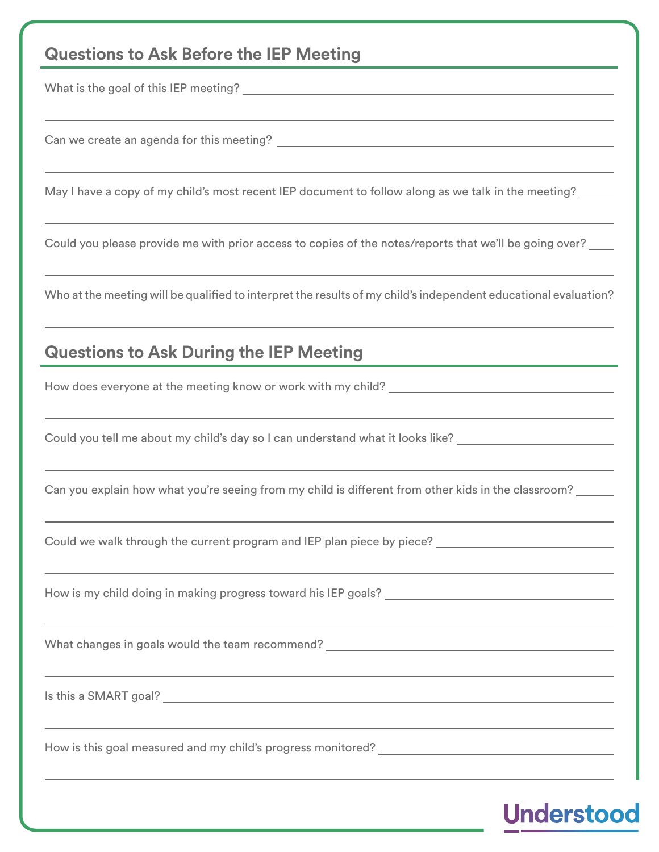## **Questions to Ask Before the IEP Meeting**

What is the goal of this IEP meeting?

Can we create an agenda for this meeting?

May I have a copy of my child's most recent IEP document to follow along as we talk in the meeting?

Could you please provide me with prior access to copies of the notes/reports that we'll be going over?

Who at the meeting will be qualified to interpret the results of my child's independent educational evaluation?

## **Questions to Ask During the IEP Meeting**

How does everyone at the meeting know or work with my child?

Could you tell me about my child's day so I can understand what it looks like?

Can you explain how what you're seeing from my child is different from other kids in the classroom?

Could we walk through the current program and IEP plan piece by piece?

How is my child doing in making progress toward his IEP goals?

What changes in goals would the team recommend?

Is this a SMART goal?

 $\overline{a}$ 

 $\overline{a}$ 

 $\overline{a}$ 

How is this goal measured and my child's progress monitored?

## **Understoor**